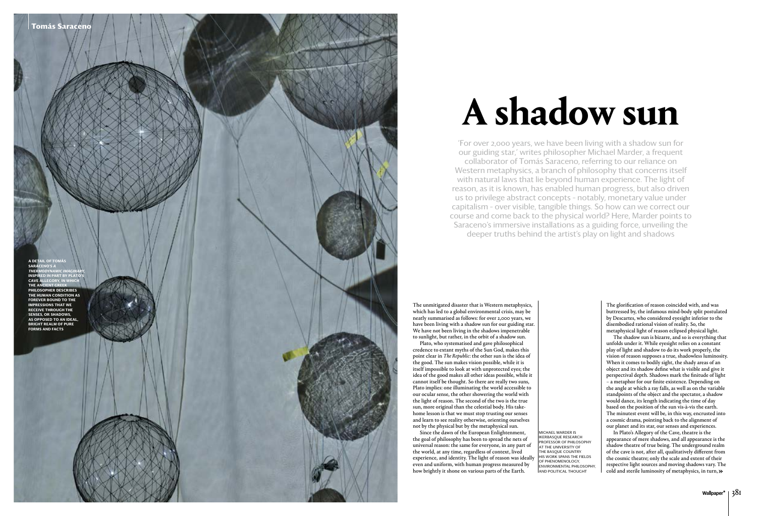The unmitigated disaster that is Western metaphysics, which has led to a global environmental crisis, may be neatly summarised as follows: for over 2,000 years, we have been living with a shadow sun for our guiding star. We have not been living in the shadows impenetrable to sunlight, but rather, in the orbit of a shadow sun.

Plato, who systematised and gave philosophical credence to extant myths of the Sun God, makes this point clear in *The Republic*: the other sun is the idea of the good. The sun makes vision possible, while it is itself impossible to look at with unprotected eyes; the idea of the good makes all other ideas possible, while it cannot itself be thought. So there are really two suns, Plato implies: one illuminating the world accessible to our ocular sense, the other showering the world with the light of reason. The second of the two is the true sun, more original than the celestial body. His takehome lesson is that we must stop trusting our senses and learn to see reality otherwise, orienting ourselves not by the physical but by the metaphysical sun.

Since the dawn of the European Enlightenment, the goal of philosophy has been to spread the nets of universal reason: the same for everyone, in any part of the world, at any time, regardless of context, lived experience, and identity. The light of reason was ideally even and uniform, with human progress measured by how brightly it shone on various parts of the Earth.

The glorification of reason coincided with, and was buttressed by, the infamous mind-body split postulated by Descartes, who considered eyesight inferior to the disembodied rational vision of reality. So, the metaphysical light of reason eclipsed physical light.

Mic hael Marder i s IKERBASQUE RESEARCH PROFESSOR OF PHILOSOPHY a .T THE UNIVERSITY OI THE BASQUE COUNTRY. HIS WORK SPANS THE FIELDS o f pheno menology, ENVIRONMENTAL PHILOSOPHY, AND POLITICAL THOUGH

The shadow sun is bizarre, and so is everything that unfolds under it. While eyesight relies on a constant play of light and shadow to do its work properly, the vision of reason supposes a true, shadowless luminosity. When it comes to bodily sight, the shady areas of an object and its shadow define what is visible and give it perspectival depth. Shadows mark the finitude of light – a metaphor for our finite existence. Depending on the angle at which a ray falls, as well as on the variable standpoints of the object and the spectator, a shadow would dance, its length indicating the time of day based on the position of the sun vis-à-vis the earth. The minutest event will be, in this way, encrusted into a cosmic drama, pointing back to the alignment of our planet and its star, our senses and experiences.

In Plato's Allegory of the Cave, theatre is the appearance of mere shadows, and all appearance is the shadow theatre of true being. The underground realm of the cave is not, after all, qualitatively different from the cosmic theatre; only the scale and extent of their respective light sources and moving shadows vary. The cold and sterile luminosity of metaphysics, in turn, »

## **A shadow sun**

'For over 2,000 years, we have been living with a shadow sun for our guiding star,' writes philosopher Michael Marder, a frequent collaborator of Tomás Saraceno, referring to our reliance on Western metaphysics, a branch of philosophy that concerns itself with natural laws that lie beyond human experience. The light of reason, as it is known, has enabled human progress, but also driven us to privilege abstract concepts – notably, monetary value under capitalism – over visible, tangible things. So how can we correct our course and come back to the physical world? Here, Marder points to Saraceno's immersive installations as a guiding force, unveiling the deeper truths behind the artist's play on light and shadows